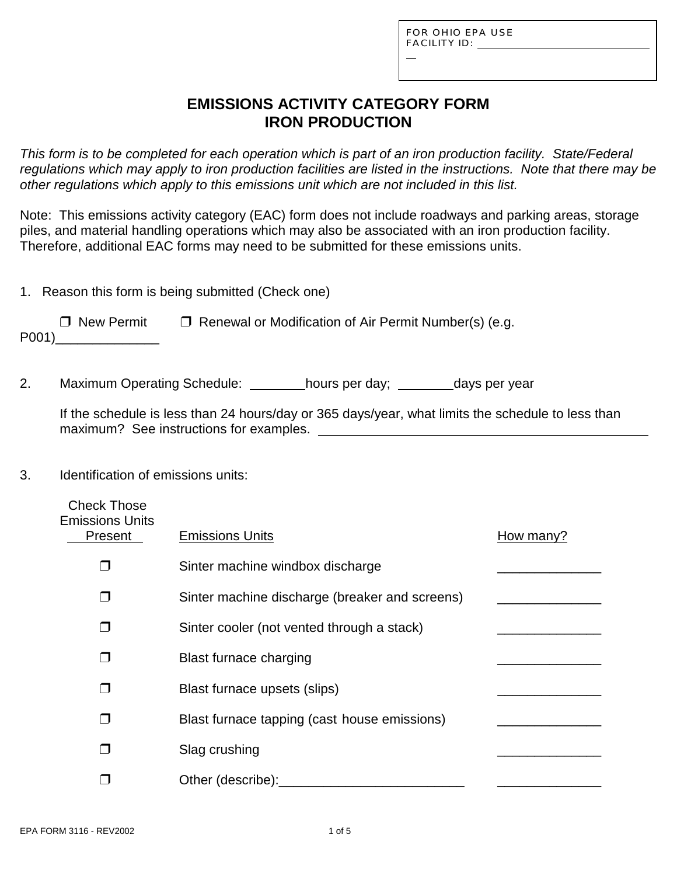FOR OHIO EPA USE FACILITY ID:

L

## **EMISSIONS ACTIVITY CATEGORY FORM IRON PRODUCTION**

*This form is to be completed for each operation which is part of an iron production facility. State/Federal regulations which may apply to iron production facilities are listed in the instructions. Note that there may be other regulations which apply to this emissions unit which are not included in this list.*

Note: This emissions activity category (EAC) form does not include roadways and parking areas, storage piles, and material handling operations which may also be associated with an iron production facility. Therefore, additional EAC forms may need to be submitted for these emissions units.

1. Reason this form is being submitted (Check one)

 $\Box$  New Permit  $\Box$  Renewal or Modification of Air Permit Number(s) (e.g. P001)\_\_\_\_\_\_\_\_\_\_\_\_\_\_

2. Maximum Operating Schedule: hours per day; days per year

If the schedule is less than 24 hours/day or 365 days/year, what limits the schedule to less than maximum? See instructions for examples.

### 3. Identification of emissions units:

| <b>Check Those</b><br><b>Emissions Units</b><br>Present | <b>Emissions Units</b>                         | How many? |
|---------------------------------------------------------|------------------------------------------------|-----------|
| ┓                                                       | Sinter machine windbox discharge               |           |
|                                                         | Sinter machine discharge (breaker and screens) |           |
|                                                         | Sinter cooler (not vented through a stack)     |           |
|                                                         | <b>Blast furnace charging</b>                  |           |
|                                                         | Blast furnace upsets (slips)                   |           |
|                                                         | Blast furnace tapping (cast house emissions)   |           |
|                                                         | Slag crushing                                  |           |
|                                                         | Other (describe):                              |           |
|                                                         |                                                |           |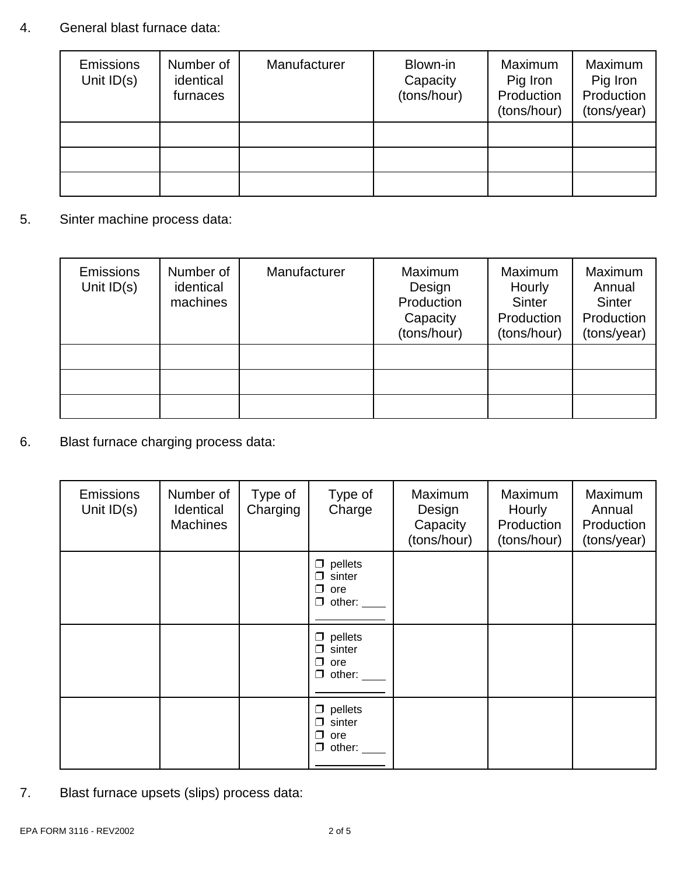## 4. General blast furnace data:

| Emissions<br>Unit $ID(s)$ | Number of<br>identical<br>furnaces | Manufacturer | Blown-in<br>Capacity<br>(tons/hour) | Maximum<br>Pig Iron<br>Production<br>(tons/hour) | Maximum<br>Pig Iron<br>Production<br>(tons/year) |
|---------------------------|------------------------------------|--------------|-------------------------------------|--------------------------------------------------|--------------------------------------------------|
|                           |                                    |              |                                     |                                                  |                                                  |
|                           |                                    |              |                                     |                                                  |                                                  |
|                           |                                    |              |                                     |                                                  |                                                  |

5. Sinter machine process data:

| Emissions<br>Unit $ID(s)$ | Number of<br>identical<br>machines | Manufacturer | Maximum<br>Design<br>Production<br>Capacity<br>(tons/hour) | <b>Maximum</b><br>Hourly<br><b>Sinter</b><br>Production<br>(tons/hour) | Maximum<br>Annual<br>Sinter<br>Production<br>(tons/year) |
|---------------------------|------------------------------------|--------------|------------------------------------------------------------|------------------------------------------------------------------------|----------------------------------------------------------|
|                           |                                    |              |                                                            |                                                                        |                                                          |
|                           |                                    |              |                                                            |                                                                        |                                                          |
|                           |                                    |              |                                                            |                                                                        |                                                          |

6. Blast furnace charging process data:

| <b>Emissions</b><br>Unit $ID(s)$ | Number of<br>Identical<br><b>Machines</b> | Type of<br>Charging | Type of<br>Charge                                               | Maximum<br>Design<br>Capacity<br>(tons/hour) | Maximum<br>Hourly<br>Production<br>(tons/hour) | Maximum<br>Annual<br>Production<br>(tons/year) |
|----------------------------------|-------------------------------------------|---------------------|-----------------------------------------------------------------|----------------------------------------------|------------------------------------------------|------------------------------------------------|
|                                  |                                           |                     | $\Box$ pellets<br>sinter<br>⊓<br>□<br>ore<br>$\Box$ other:      |                                              |                                                |                                                |
|                                  |                                           |                     | pellets<br>□<br>sinter<br>⊓<br>ore<br>⊓<br>other:<br>□          |                                              |                                                |                                                |
|                                  |                                           |                     | $\Box$ pellets<br>sinter<br>⊓<br>□<br>ore<br>other: $\_\_$<br>0 |                                              |                                                |                                                |

7. Blast furnace upsets (slips) process data: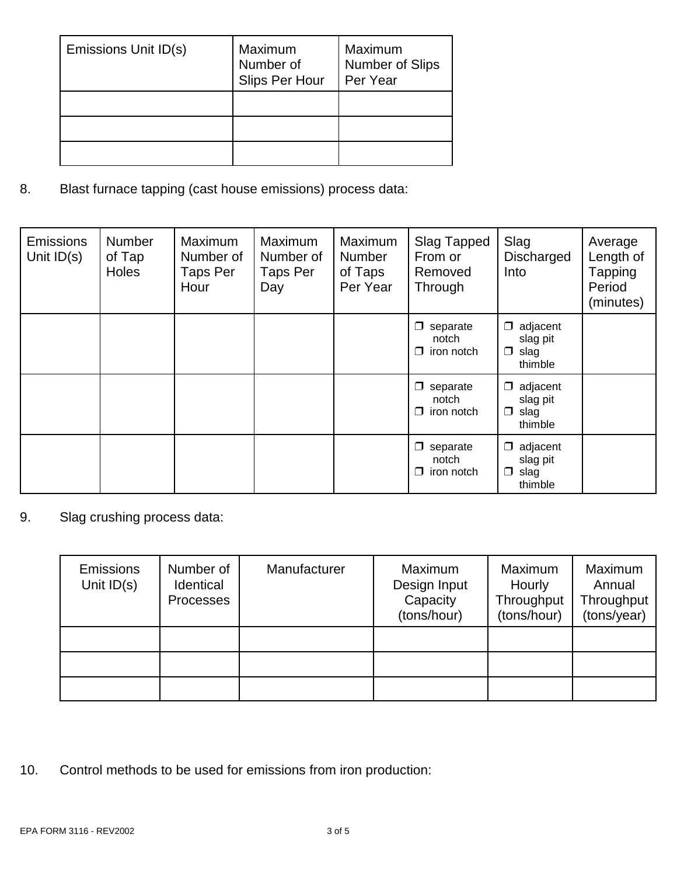| Emissions Unit ID(s) | Maximum<br>Number of<br>Slips Per Hour | Maximum<br>Number of Slips<br>Per Year |
|----------------------|----------------------------------------|----------------------------------------|
|                      |                                        |                                        |
|                      |                                        |                                        |
|                      |                                        |                                        |

8. Blast furnace tapping (cast house emissions) process data:

| <b>Emissions</b><br>Unit $ID(s)$ | <b>Number</b><br>of Tap<br><b>Holes</b> | Maximum<br>Number of<br><b>Taps Per</b><br>Hour | Maximum<br>Number of<br>Taps Per<br>Day | Maximum<br><b>Number</b><br>of Taps<br>Per Year | Slag Tapped<br>From or<br>Removed<br>Through        | Slag<br>Discharged<br>Into                             | Average<br>Length of<br><b>Tapping</b><br>Period<br>(minutes) |
|----------------------------------|-----------------------------------------|-------------------------------------------------|-----------------------------------------|-------------------------------------------------|-----------------------------------------------------|--------------------------------------------------------|---------------------------------------------------------------|
|                                  |                                         |                                                 |                                         |                                                 | separate<br>$\Box$<br>notch<br>iron notch<br>⊓      | adjacent<br>⊓<br>slag pit<br>slag<br>□<br>thimble      |                                                               |
|                                  |                                         |                                                 |                                         |                                                 | $\Box$<br>separate<br>notch<br>iron notch<br>$\Box$ | adjacent<br>□<br>slag pit<br>slag<br>□<br>thimble      |                                                               |
|                                  |                                         |                                                 |                                         |                                                 | separate<br>□<br>notch<br>iron notch<br>$\Box$      | adjacent<br>⊓<br>slag pit<br>slag<br>$\Box$<br>thimble |                                                               |

9. Slag crushing process data:

| Emissions<br>Unit $ID(s)$ | Number of<br>Identical<br><b>Processes</b> | Manufacturer | Maximum<br>Design Input<br>Capacity<br>(tons/hour) | Maximum<br>Hourly<br>Throughput<br>(tons/hour) | Maximum<br>Annual<br>Throughput<br>(tons/year) |
|---------------------------|--------------------------------------------|--------------|----------------------------------------------------|------------------------------------------------|------------------------------------------------|
|                           |                                            |              |                                                    |                                                |                                                |
|                           |                                            |              |                                                    |                                                |                                                |
|                           |                                            |              |                                                    |                                                |                                                |

10. Control methods to be used for emissions from iron production: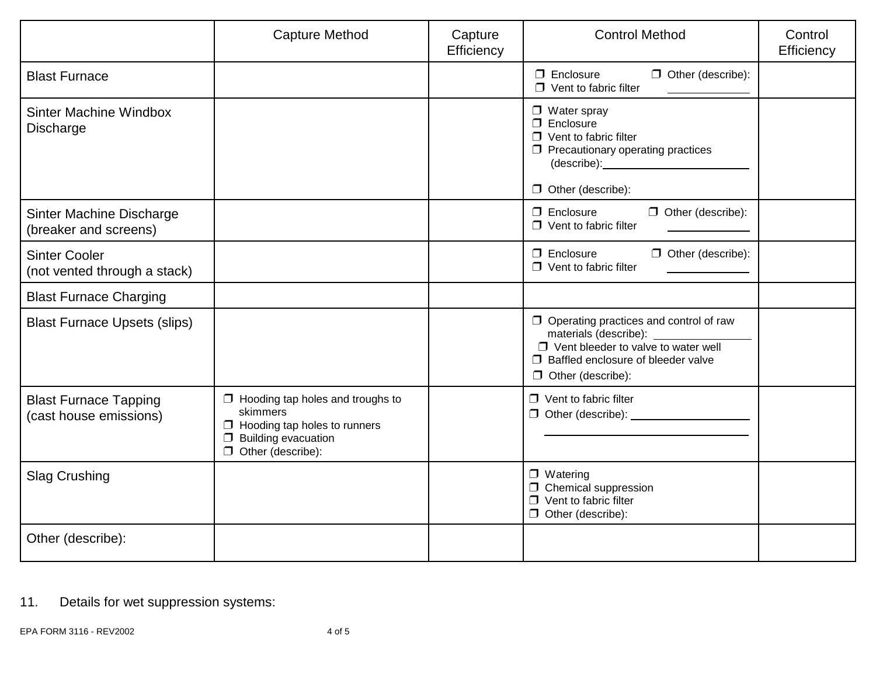|                                                        | <b>Capture Method</b>                                                                                                                                          | Capture<br>Efficiency | <b>Control Method</b>                                                                                                                                                                                   | Control<br>Efficiency |
|--------------------------------------------------------|----------------------------------------------------------------------------------------------------------------------------------------------------------------|-----------------------|---------------------------------------------------------------------------------------------------------------------------------------------------------------------------------------------------------|-----------------------|
| <b>Blast Furnace</b>                                   |                                                                                                                                                                |                       | $\Box$ Other (describe):<br>$\Box$ Enclosure<br>$\Box$ Vent to fabric filter                                                                                                                            |                       |
| Sinter Machine Windbox<br>Discharge                    |                                                                                                                                                                |                       | $\Box$ Water spray<br>$\square$ Enclosure<br>$\Box$ Vent to fabric filter<br>$\Box$ Precautionary operating practices<br>$\Box$ Other (describe):                                                       |                       |
| Sinter Machine Discharge<br>(breaker and screens)      |                                                                                                                                                                |                       | $\Box$ Enclosure<br>$\Box$ Other (describe):<br>$\Box$ Vent to fabric filter                                                                                                                            |                       |
| <b>Sinter Cooler</b><br>(not vented through a stack)   |                                                                                                                                                                |                       | $\Box$ Other (describe):<br>$\Box$ Enclosure<br>$\Box$ Vent to fabric filter                                                                                                                            |                       |
| <b>Blast Furnace Charging</b>                          |                                                                                                                                                                |                       |                                                                                                                                                                                                         |                       |
| <b>Blast Furnace Upsets (slips)</b>                    |                                                                                                                                                                |                       | $\Box$ Operating practices and control of raw<br>materials (describe): _________<br>$\Box$ Vent bleeder to valve to water well<br>$\Box$ Baffled enclosure of bleeder valve<br>$\Box$ Other (describe): |                       |
| <b>Blast Furnace Tapping</b><br>(cast house emissions) | $\Box$ Hooding tap holes and troughs to<br>skimmers<br>$\Box$ Hooding tap holes to runners<br><b>Building evacuation</b><br>$\Box$<br>$\Box$ Other (describe): |                       | $\Box$ Vent to fabric filter<br>$\Box$ Other (describe): $\Box$                                                                                                                                         |                       |
| <b>Slag Crushing</b>                                   |                                                                                                                                                                |                       | $\Box$ Watering<br>$\Box$ Chemical suppression<br>$\Box$ Vent to fabric filter<br>$\Box$ Other (describe):                                                                                              |                       |
| Other (describe):                                      |                                                                                                                                                                |                       |                                                                                                                                                                                                         |                       |

# 11. Details for wet suppression systems: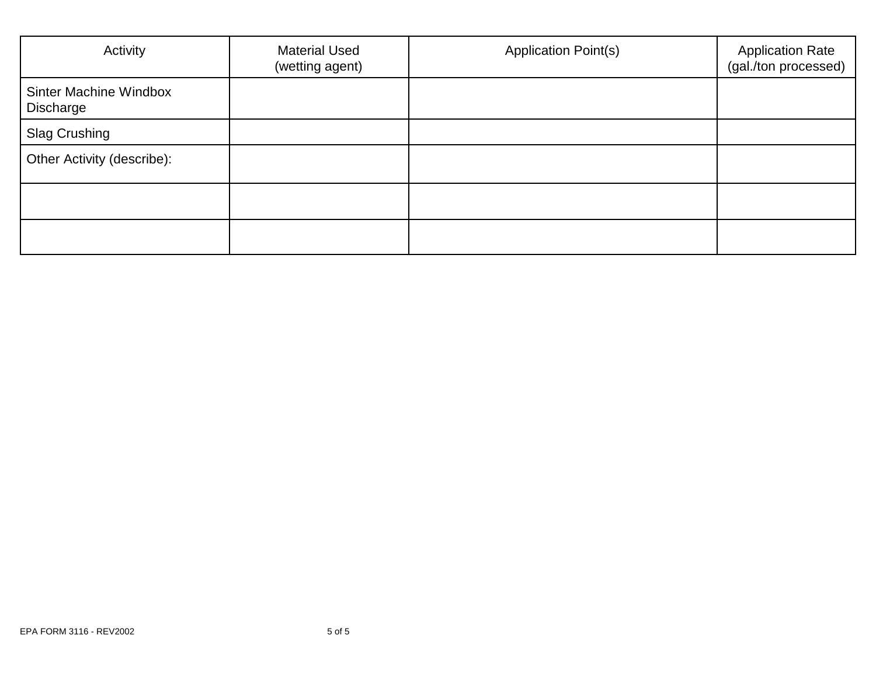| Activity                            | <b>Material Used</b><br>(wetting agent) | <b>Application Point(s)</b> | <b>Application Rate</b><br>(gal./ton processed) |
|-------------------------------------|-----------------------------------------|-----------------------------|-------------------------------------------------|
| Sinter Machine Windbox<br>Discharge |                                         |                             |                                                 |
| <b>Slag Crushing</b>                |                                         |                             |                                                 |
| Other Activity (describe):          |                                         |                             |                                                 |
|                                     |                                         |                             |                                                 |
|                                     |                                         |                             |                                                 |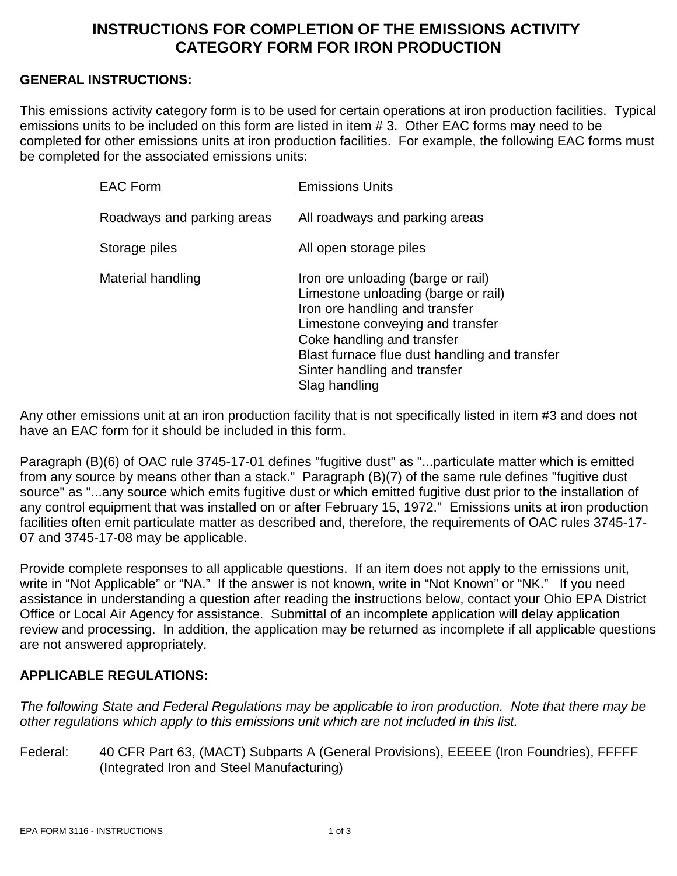## **INSTRUCTIONS FOR COMPLETION OF THE EMISSIONS ACTIVITY CATEGORY FORM FOR IRON PRODUCTION**

### **GENERAL INSTRUCTIONS:**

This emissions activity category form is to be used for certain operations at iron production facilities. Typical emissions units to be included on this form are listed in item # 3. Other EAC forms may need to be completed for other emissions units at iron production facilities. For example, the following EAC forms must be completed for the associated emissions units:

| <b>EAC Form</b>            | <b>Emissions Units</b>                                                                                                                                                                                                                                                          |
|----------------------------|---------------------------------------------------------------------------------------------------------------------------------------------------------------------------------------------------------------------------------------------------------------------------------|
| Roadways and parking areas | All roadways and parking areas                                                                                                                                                                                                                                                  |
| Storage piles              | All open storage piles                                                                                                                                                                                                                                                          |
| Material handling          | Iron ore unloading (barge or rail)<br>Limestone unloading (barge or rail)<br>Iron ore handling and transfer<br>Limestone conveying and transfer<br>Coke handling and transfer<br>Blast furnace flue dust handling and transfer<br>Sinter handling and transfer<br>Slag handling |

Any other emissions unit at an iron production facility that is not specifically listed in item #3 and does not have an EAC form for it should be included in this form.

Paragraph (B)(6) of OAC rule 3745-17-01 defines "fugitive dust" as "...particulate matter which is emitted from any source by means other than a stack." Paragraph (B)(7) of the same rule defines "fugitive dust source" as "...any source which emits fugitive dust or which emitted fugitive dust prior to the installation of any control equipment that was installed on or after February 15, 1972." Emissions units at iron production facilities often emit particulate matter as described and, therefore, the requirements of OAC rules 3745-17- 07 and 3745-17-08 may be applicable.

Provide complete responses to all applicable questions. If an item does not apply to the emissions unit, write in "Not Applicable" or "NA." If the answer is not known, write in "Not Known" or "NK." If you need assistance in understanding a question after reading the instructions below, contact your Ohio EPA District Office or Local Air Agency for assistance. Submittal of an incomplete application will delay application review and processing. In addition, the application may be returned as incomplete if all applicable questions are not answered appropriately.

#### **APPLICABLE REGULATIONS:**

*The following State and Federal Regulations may be applicable to iron production. Note that there may be other regulations which apply to this emissions unit which are not included in this list.*

Federal: 40 CFR Part 63, (MACT) Subparts A (General Provisions), EEEEE (Iron Foundries), FFFFF (Integrated Iron and Steel Manufacturing)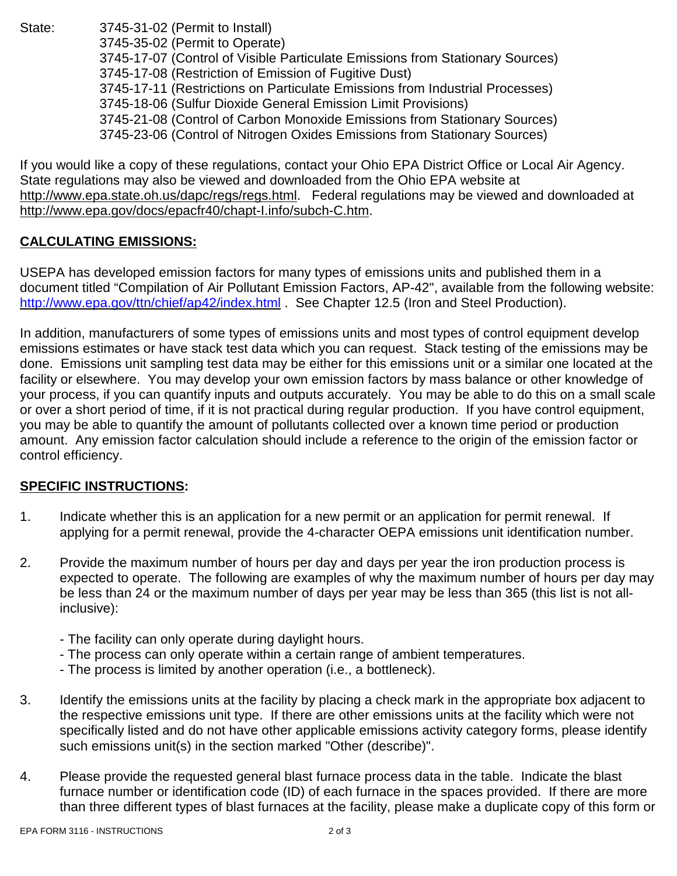State: 3745-31-02 (Permit to Install) 3745-35-02 (Permit to Operate) 3745-17-07 (Control of Visible Particulate Emissions from Stationary Sources) 3745-17-08 (Restriction of Emission of Fugitive Dust) 3745-17-11 (Restrictions on Particulate Emissions from Industrial Processes) 3745-18-06 (Sulfur Dioxide General Emission Limit Provisions) 3745-21-08 (Control of Carbon Monoxide Emissions from Stationary Sources) 3745-23-06 (Control of Nitrogen Oxides Emissions from Stationary Sources)

If you would like a copy of these regulations, contact your Ohio EPA District Office or Local Air Agency. State regulations may also be viewed and downloaded from the Ohio EPA website at http://www.epa.state.oh.us/dapc/regs/regs.html. Federal regulations may be viewed and downloaded at http://www.epa.gov/docs/epacfr40/chapt-I.info/subch-C.htm.

### **CALCULATING EMISSIONS:**

USEPA has developed emission factors for many types of emissions units and published them in a document titled "Compilation of Air Pollutant Emission Factors, AP-42", available from the following website: http://www.epa.gov/ttn/chief/ap42/index.html . See Chapter 12.5 (Iron and Steel Production).

In addition, manufacturers of some types of emissions units and most types of control equipment develop emissions estimates or have stack test data which you can request. Stack testing of the emissions may be done. Emissions unit sampling test data may be either for this emissions unit or a similar one located at the facility or elsewhere. You may develop your own emission factors by mass balance or other knowledge of your process, if you can quantify inputs and outputs accurately. You may be able to do this on a small scale or over a short period of time, if it is not practical during regular production. If you have control equipment, you may be able to quantify the amount of pollutants collected over a known time period or production amount. Any emission factor calculation should include a reference to the origin of the emission factor or control efficiency.

### **SPECIFIC INSTRUCTIONS:**

- 1. Indicate whether this is an application for a new permit or an application for permit renewal. If applying for a permit renewal, provide the 4-character OEPA emissions unit identification number.
- 2. Provide the maximum number of hours per day and days per year the iron production process is expected to operate. The following are examples of why the maximum number of hours per day may be less than 24 or the maximum number of days per year may be less than 365 (this list is not allinclusive):
	- The facility can only operate during daylight hours.
	- The process can only operate within a certain range of ambient temperatures.
	- The process is limited by another operation (i.e., a bottleneck).
- 3. Identify the emissions units at the facility by placing a check mark in the appropriate box adjacent to the respective emissions unit type. If there are other emissions units at the facility which were not specifically listed and do not have other applicable emissions activity category forms, please identify such emissions unit(s) in the section marked "Other (describe)".
- 4. Please provide the requested general blast furnace process data in the table. Indicate the blast furnace number or identification code (ID) of each furnace in the spaces provided. If there are more than three different types of blast furnaces at the facility, please make a duplicate copy of this form or